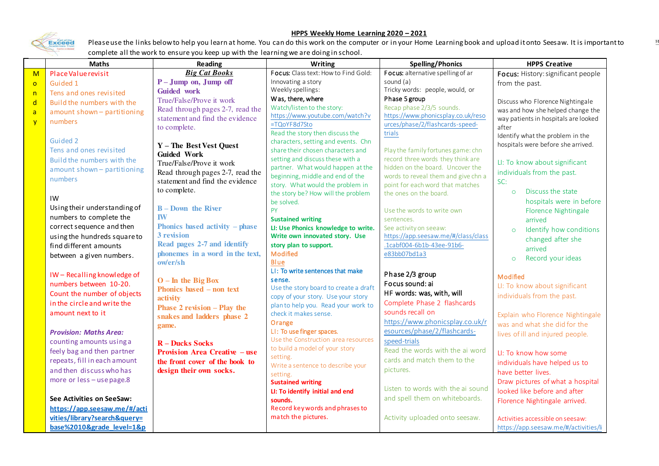

## **HPPS Weekly Home Learning 2020 – 2021**

 $\mathbb{H}$ 

Please use the links below to help you learn at home. You can do this work on the computer or in your Home Learning book and upload it onto Seesaw. It is important to complete all the work to ensure you keep up with the learning we are doing in school.

|                | <b>Maths</b>                  | Reading                                          | Writing                                                                | <b>Spelling/Phonics</b>             | <b>HPPS Creative</b>                  |
|----------------|-------------------------------|--------------------------------------------------|------------------------------------------------------------------------|-------------------------------------|---------------------------------------|
| M              | Place Value revisit           | <b>Big Cat Books</b>                             | Focus: Class text: How to Find Gold:                                   | Focus: alternative spelling of ar   | Focus: History: significant people    |
| $\overline{0}$ | Guided 1                      | $P - Jump$ on, Jump off                          | Innovating a story                                                     | sound (a)                           | from the past.                        |
| n              | Tens and ones revisited       | <b>Guided</b> work                               | Weekly spellings:                                                      | Tricky words: people, would, or     |                                       |
| $\mathsf{d}$   | Build the numbers with the    | True/False/Prove it work                         | Was, there, where                                                      | Phase 5 group                       | Discuss who Florence Nightingale      |
| $\mathsf{a}$   | amount shown - partitioning   | Read through pages 2-7, read the                 | Watch/listen to the story:                                             | Recap phase 2/3/5 sounds.           | was and how she helped change the     |
| $\mathbf{V}$   | numbers                       | statement and find the evidence                  | https://www.youtube.com/watch?v                                        | https://www.phonicsplay.co.uk/reso  | way patients in hospitals are looked  |
|                |                               | to complete.                                     | =TQoYF8d7Sto                                                           | urces/phase/2/flashcards-speed-     | after                                 |
|                | Guided 2                      |                                                  | Read the story then discuss the<br>characters, setting and events. Chn | trials                              | Identify what the problem in the      |
|                | Tens and ones revisited       | Y - The Best Vest Quest                          | share their chosen characters and                                      | Play the family fortunes game: chn  | hospitals were before she arrived.    |
|                | Build the numbers with the    | <b>Guided Work</b>                               | setting and discuss these with a                                       | record three words they think are   |                                       |
|                |                               | True/False/Prove it work                         | partner. What would happen at the                                      | hidden on the board. Uncover the    | LI: To know about significant         |
|                | amount shown - partitioning   | Read through pages 2-7, read the                 | beginning, middle and end of the                                       | words to reveal them and give chn a | individuals from the past.            |
|                | numbers                       | statement and find the evidence                  | story. What would the problem in                                       | point for each word that matches    | SC:                                   |
|                |                               | to complete.                                     | the story be? How will the problem                                     | the ones on the board.              | Discuss the state<br>$\circ$          |
|                | IW                            |                                                  | be solved.                                                             |                                     | hospitals were in before              |
|                | Using their understanding of  | $B - Down$ the River                             | <b>PY</b>                                                              | Use the words to write own          | Florence Nightingale                  |
|                | numbers to complete the       | <b>IW</b>                                        | <b>Sustained writing</b>                                               | sentences.                          | arrived                               |
|                | correct sequence and then     | Phonics based activity - phase                   | LI: Use Phonics knowledge to write.                                    | See activity on seeaw:              | Identify how conditions<br>$\circ$    |
|                | using the hundreds square to  | 3 revision                                       | Write own innovated story. Use                                         | https://app.seesaw.me/#/class/class | changed after she                     |
|                | find different amounts        | Read pages 2-7 and identify                      | story plan to support.                                                 | .1cabf004-6b1b-43ee-91b6-           | arrived                               |
|                | between a given numbers.      | phonemes in a word in the text,                  | Modified                                                               | e83bb07bd1a3                        | Record your ideas<br>$\circ$          |
|                |                               | ow/er/sh                                         | <b>Blue</b><br>LI: To write sentences that make                        |                                     |                                       |
|                | IW-Recalling knowledge of     |                                                  | sense.                                                                 | Phase 2/3 group                     | Modified                              |
|                | numbers between 10-20.        | $O - In$ the Big Box<br>Phonics based – non text | Use the story board to create a draft                                  | Focus sound: ai                     | LI: To know about significant         |
|                | Count the number of objects   | activity                                         | copy of your story. Use your story                                     | HF words: was, with, will           | individuals from the past.            |
|                | in the circle and write the   | <b>Phase 2 revision - Play the</b>               | plan to help you. Read your work to                                    | Complete Phase 2 flashcards         |                                       |
|                | amount next to it             | snakes and ladders phase 2                       | check it makes sense.                                                  | sounds recall on                    | Explain who Florence Nightingale      |
|                |                               | game.                                            | Orange                                                                 | https://www.phonicsplay.co.uk/r     | was and what she did for the          |
|                | <b>Provision: Maths Area:</b> |                                                  | LI: To use finger spaces.                                              | esources/phase/2/flashcards-        | lives of ill and injured people.      |
|                | counting amounts using a      | <b>R</b> – Ducks Socks                           | Use the Construction area resources                                    | speed-trials                        |                                       |
|                | feely bag and then partner    | <b>Provision Area Creative – use</b>             | to build a model of your story                                         | Read the words with the ai word     | LI: To know how some                  |
|                | repeats, fill in each amount  | the front cover of the book to                   | setting.                                                               | cards and match them to the         | individuals have helped us to         |
|                | and then discuss who has      | design their own socks.                          | Write a sentence to describe your                                      | pictures.                           | have better lives.                    |
|                | more or less-use page.8       |                                                  | setting.<br><b>Sustained writing</b>                                   |                                     | Draw pictures of what a hospital      |
|                |                               |                                                  | LI: To identify initial and end                                        | Listen to words with the ai sound   | looked like before and after          |
|                | See Activities on SeeSaw:     |                                                  | sounds.                                                                | and spell them on whiteboards.      | Florence Nightingale arrived.         |
|                | https://app.seesaw.me/#/acti  |                                                  | Record key words and phrases to                                        |                                     |                                       |
|                | vities/library?search&query=  |                                                  | match the pictures.                                                    | Activity uploaded onto seesaw.      | Activities accessible on seesaw:      |
|                | base%2010&grade level=1&p     |                                                  |                                                                        |                                     | https://app.seesaw.me/#/activities/li |
|                |                               |                                                  |                                                                        |                                     |                                       |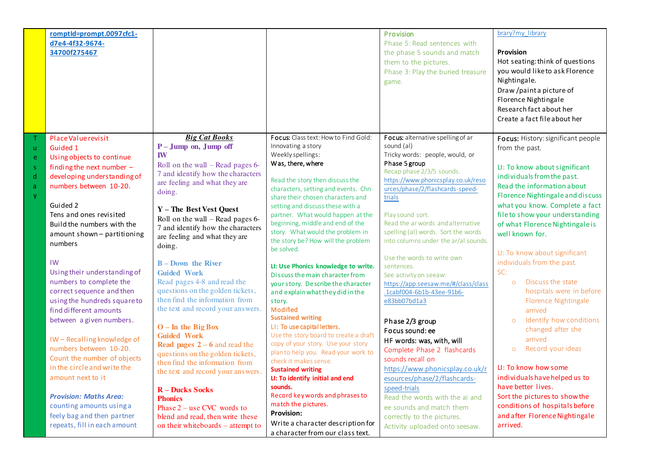|                                    | romptId=prompt.0097cfc1-<br>d7e4-4f32-9674-<br>34700f275467                                                                                                                                                                                                                                                                                                                                                                                                                                                                                                                                                                                                                                  |                                                                                                                                                                                                                                                                                                                                                                                                                                                                                                                                                                                                                                                                                                                                                                                                                                               |                                                                                                                                                                                                                                                                                                                                                                                                                                                                                                                                                                                                                                                                                                                                                                                                                                                                                                                                                                       | Provision<br>Phase 5: Read sentences with<br>the phase 5 sounds and match<br>them to the pictures.<br>Phase 3: Play the buried treasure<br>game.                                                                                                                                                                                                                                                                                                                                                                                                                                                                                                                                                                                                                                                                           | brary?my_library<br><b>Provision</b><br>Hot seating: think of questions<br>you would like to ask Florence<br>Nightingale.<br>Draw /paint a picture of<br>Florence Nightingale<br>Research fact about her<br>Create a fact file about her                                                                                                                                                                                                                                                                                                                                                                                                                                                                                                                                        |
|------------------------------------|----------------------------------------------------------------------------------------------------------------------------------------------------------------------------------------------------------------------------------------------------------------------------------------------------------------------------------------------------------------------------------------------------------------------------------------------------------------------------------------------------------------------------------------------------------------------------------------------------------------------------------------------------------------------------------------------|-----------------------------------------------------------------------------------------------------------------------------------------------------------------------------------------------------------------------------------------------------------------------------------------------------------------------------------------------------------------------------------------------------------------------------------------------------------------------------------------------------------------------------------------------------------------------------------------------------------------------------------------------------------------------------------------------------------------------------------------------------------------------------------------------------------------------------------------------|-----------------------------------------------------------------------------------------------------------------------------------------------------------------------------------------------------------------------------------------------------------------------------------------------------------------------------------------------------------------------------------------------------------------------------------------------------------------------------------------------------------------------------------------------------------------------------------------------------------------------------------------------------------------------------------------------------------------------------------------------------------------------------------------------------------------------------------------------------------------------------------------------------------------------------------------------------------------------|----------------------------------------------------------------------------------------------------------------------------------------------------------------------------------------------------------------------------------------------------------------------------------------------------------------------------------------------------------------------------------------------------------------------------------------------------------------------------------------------------------------------------------------------------------------------------------------------------------------------------------------------------------------------------------------------------------------------------------------------------------------------------------------------------------------------------|---------------------------------------------------------------------------------------------------------------------------------------------------------------------------------------------------------------------------------------------------------------------------------------------------------------------------------------------------------------------------------------------------------------------------------------------------------------------------------------------------------------------------------------------------------------------------------------------------------------------------------------------------------------------------------------------------------------------------------------------------------------------------------|
| <b>u</b><br>e<br>-S<br>d<br>a<br>y | Place Value revisit<br>Guided 1<br>Using objects to continue<br>finding the next number $-$<br>developing understanding of<br>numbers between 10-20.<br>Guided 2<br>Tens and ones revisited<br>Build the numbers with the<br>amount shown - partitioning<br>numbers<br>IW<br>Using their understanding of<br>numbers to complete the<br>correct sequence and then<br>using the hundreds square to<br>find different amounts<br>between a given numbers.<br>IW-Recalling knowledge of<br>numbers between 10-20.<br>Count the number of objects<br>in the circle and write the<br>amount next to it<br><b>Provision: Maths Area:</b><br>counting amounts using a<br>feely bag and then partner | <b>Big Cat Books</b><br>P-Jump on, Jump off<br><b>IW</b><br>Roll on the wall $-$ Read pages 6-<br>7 and identify how the characters<br>are feeling and what they are<br>doing.<br>Y - The Best Vest Quest<br>Roll on the wall $-$ Read pages 6-<br>7 and identify how the characters<br>are feeling and what they are<br>doing.<br><b>B</b> – Down the River<br><b>Guided Work</b><br>Read pages 4-8 and read the<br>questions on the golden tickets,<br>then find the information from<br>the text and record your answers.<br>$O - In$ the Big Box<br><b>Guided Work</b><br><b>Read pages 2 – 6 and read the</b><br>questions on the golden tickets,<br>then find the information from<br>the text and record your answers.<br><b>R</b> – Ducks Socks<br><b>Phonics</b><br>Phase $2$ – use CVC words to<br>blend and read, then write these | Focus: Class text: How to Find Gold:<br>Innovating a story<br>Weekly spellings:<br>Was, there, where<br>Read the story then discuss the<br>characters, setting and events. Chn<br>share their chosen characters and<br>setting and discuss these with a<br>partner. What would happen at the<br>beginning, middle and end of the<br>story. What would the problem in<br>the story be? How will the problem<br>be solved.<br>LI: Use Phonics knowledge to write.<br>Discuss the main character from<br>your story. Describe the character<br>and explain what they did in the<br>story.<br>Modified<br><b>Sustained writing</b><br>LI: To use capital letters.<br>Use the story board to create a draft<br>copy of your story. Use your story<br>plan to help you. Read your work to<br>check it makes sense.<br><b>Sustained writing</b><br>LI: To identify initial and end<br>sounds.<br>Record key words and phrases to<br>match the pictures.<br><b>Provision:</b> | Focus: alternative spelling of ar<br>sound (al)<br>Tricky words: people, would, or<br>Phase 5 group<br>Recap phase 2/3/5 sounds.<br>https://www.phonicsplay.co.uk/reso<br>urces/phase/2/flashcards-speed-<br>trials<br>Play sound sort.<br>Read the ar words and alternative<br>spelling (al) words. Sort the words<br>into columns under the ar/al sounds.<br>Use the words to write own<br>sentences.<br>See activity on seeaw:<br>https://app.seesaw.me/#/class/class<br>.1cabf004-6b1b-43ee-91b6-<br>e83bb07bd1a3<br>Phase 2/3 group<br>Focus sound: ee<br>HF words: was, with, will<br>Complete Phase 2 flashcards<br>sounds recall on<br>https://www.phonicsplay.co.uk/r<br>esources/phase/2/flashcards-<br>speed-trials<br>Read the words with the ai and<br>ee sounds and match them<br>correctly to the pictures. | Focus: History: significant people<br>from the past.<br>LI: To know about significant<br>individuals from the past.<br>Read the information about<br>Florence Nightingale and discuss<br>what you know. Complete a fact<br>file to show your understanding<br>of what Florence Nightingale is<br>well known for.<br>LI: To know about significant<br>individuals from the past.<br>SC:<br>Discuss the state<br>$\circ$<br>hospitals were in before<br>Florence Nightingale<br>arrived<br>Identify how conditions<br>$\circ$<br>changed after she<br>arrived<br>Record your ideas<br>$\circ$<br>LI: To know how some<br>individuals have helped us to<br>have better lives.<br>Sort the pictures to show the<br>conditions of hospitals before<br>and after Florence Nightingale |
|                                    | repeats, fill in each amount                                                                                                                                                                                                                                                                                                                                                                                                                                                                                                                                                                                                                                                                 | on their whiteboards – attempt to                                                                                                                                                                                                                                                                                                                                                                                                                                                                                                                                                                                                                                                                                                                                                                                                             | Write a character description for<br>a character from our class text.                                                                                                                                                                                                                                                                                                                                                                                                                                                                                                                                                                                                                                                                                                                                                                                                                                                                                                 | Activity uploaded onto seesaw.                                                                                                                                                                                                                                                                                                                                                                                                                                                                                                                                                                                                                                                                                                                                                                                             | arrived.                                                                                                                                                                                                                                                                                                                                                                                                                                                                                                                                                                                                                                                                                                                                                                        |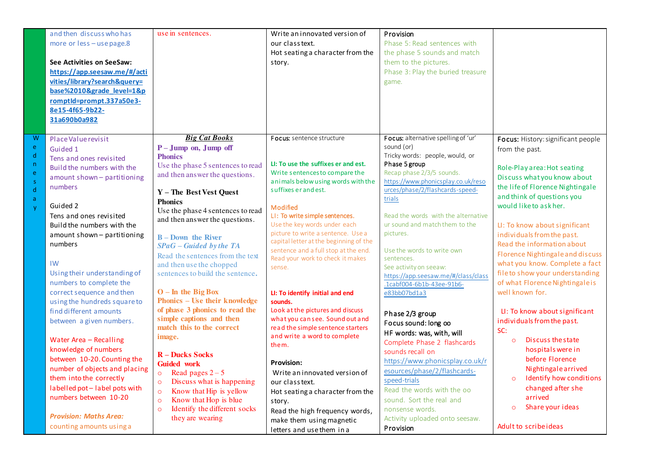|                                       | and then discuss who has<br>more or less - use page.8<br>See Activities on SeeSaw:<br>https://app.seesaw.me/#/acti<br>vities/library?search&query=<br>base%2010&grade level=1&p<br>romptId=prompt.337a50e3-<br>8e15-4f65-9b22-<br>31a690b0a982                                                                                                                                                                                                                  | use in sentences.                                                                                                                                                                                                                                                                                                                                                                                                                                                                                                                                                                           | Write an innovated version of<br>our class text.<br>Hot seating a character from the<br>story.                                                                                                                                                                                                                                                                                                                                                                                                                                                                                                                          | Provision<br>Phase 5: Read sentences with<br>the phase 5 sounds and match<br>them to the pictures.<br>Phase 3: Play the buried treasure<br>game.                                                                                                                                                                                                                                                                                                                                                                                                                             |                                                                                                                                                                                                                                                                                                                                                                                                                                                                                                                                                                                 |
|---------------------------------------|-----------------------------------------------------------------------------------------------------------------------------------------------------------------------------------------------------------------------------------------------------------------------------------------------------------------------------------------------------------------------------------------------------------------------------------------------------------------|---------------------------------------------------------------------------------------------------------------------------------------------------------------------------------------------------------------------------------------------------------------------------------------------------------------------------------------------------------------------------------------------------------------------------------------------------------------------------------------------------------------------------------------------------------------------------------------------|-------------------------------------------------------------------------------------------------------------------------------------------------------------------------------------------------------------------------------------------------------------------------------------------------------------------------------------------------------------------------------------------------------------------------------------------------------------------------------------------------------------------------------------------------------------------------------------------------------------------------|------------------------------------------------------------------------------------------------------------------------------------------------------------------------------------------------------------------------------------------------------------------------------------------------------------------------------------------------------------------------------------------------------------------------------------------------------------------------------------------------------------------------------------------------------------------------------|---------------------------------------------------------------------------------------------------------------------------------------------------------------------------------------------------------------------------------------------------------------------------------------------------------------------------------------------------------------------------------------------------------------------------------------------------------------------------------------------------------------------------------------------------------------------------------|
| W<br>e<br>d<br>n<br>ė<br>Š.<br>d<br>ă | Place Value revisit<br>Guided 1<br>Tens and ones revisited<br>Build the numbers with the<br>amount shown - partitioning<br>numbers<br>Guided 2<br>Tens and ones revisited<br>Build the numbers with the<br>amount shown - partitioning<br>numbers<br>IW<br>Using their understanding of<br>numbers to complete the<br>correct sequence and then<br>using the hundreds square to<br>find different amounts<br>between a given numbers.<br>Water Area - Recalling | <b>Big Cat Books</b><br>P-Jump on, Jump off<br><b>Phonics</b><br>Use the phase 5 sentences to read<br>and then answer the questions.<br>Y - The Best Vest Quest<br><b>Phonics</b><br>Use the phase 4 sentences to read<br>and then answer the questions.<br><b>B</b> – Down the River<br>$SPaG - Guided$ by the TA<br>Read the sentences from the text<br>and then use the chopped<br>sentences to build the sentence.<br>$O - In$ the Big Box<br><b>Phonics – Use their knowledge</b><br>of phase 3 phonics to read the<br>simple captions and then<br>match this to the correct<br>image. | Focus: sentence structure<br>LI: To use the suffixes er and est.<br>Write sentences to compare the<br>animals below using words with the<br>suffixes er and est.<br>Modified<br>LI: To write simple sentences.<br>Use the key words under each<br>picture to write a sentence. Use a<br>capital letter at the beginning of the<br>sentence and a full stop at the end.<br>Read your work to check it makes<br>sense.<br>LI: To identify initial and end<br>sounds.<br>Look at the pictures and discuss<br>what you can see. Sound out and<br>read the simple sentence starters<br>and write a word to complete<br>them. | Focus: alternative spelling of 'ur'<br>sound (or)<br>Tricky words: people, would, or<br>Phase 5 group<br>Recap phase 2/3/5 sounds.<br>https://www.phonicsplay.co.uk/reso<br>urces/phase/2/flashcards-speed-<br>trials<br>Read the words with the alternative<br>ur sound and match them to the<br>pictures.<br>Use the words to write own<br>sentences.<br>See activity on seeaw:<br>https://app.seesaw.me/#/class/class<br>.1cabf004-6b1b-43ee-91b6-<br>e83bb07bd1a3<br>Phase 2/3 group<br>Focus sound: long oo<br>HF words: was, with, will<br>Complete Phase 2 flashcards | Focus: History: significant people<br>from the past.<br>Role-Play area: Hot seating<br>Discuss what you know about<br>the life of Florence Nightingale<br>and think of questions you<br>would like to ask her.<br>LI: To know about significant<br>individuals from the past.<br>Read the information about<br>Florence Nightingale and discuss<br>what you know. Complete a fact<br>file to show your understanding<br>of what Florence Nightingaleis<br>well known for.<br>LI: To know about significant<br>individuals from the past.<br>SC:<br>Discuss the state<br>$\circ$ |
|                                       | knowledge of numbers<br>between 10-20. Counting the<br>number of objects and placing<br>them into the correctly<br>labelled pot-label pots with<br>numbers between 10-20<br><b>Provision: Maths Area:</b><br>counting amounts using a                                                                                                                                                                                                                           | <b>R</b> – Ducks Socks<br><b>Guided work</b><br>Read pages $2-5$<br>$\circ$<br>Discuss what is happening<br>$\circ$<br>Know that Hip is yellow<br>$\circ$<br>Know that Hop is blue<br>$\circ$<br>Identify the different socks<br>$\circ$<br>they are wearing                                                                                                                                                                                                                                                                                                                                | <b>Provision:</b><br>Write an innovated version of<br>our class text.<br>Hot seating a character from the<br>story.<br>Read the high frequency words,<br>make them using magnetic<br>letters and use them in a                                                                                                                                                                                                                                                                                                                                                                                                          | sounds recall on<br>https://www.phonicsplay.co.uk/r<br>esources/phase/2/flashcards-<br>speed-trials<br>Read the words with the oo<br>sound. Sort the real and<br>nonsense words.<br>Activity uploaded onto seesaw.<br>Provision                                                                                                                                                                                                                                                                                                                                              | hospitals were in<br>before Florence<br>Nightingalearrived<br>Identify how conditions<br>changed after she<br>arrived<br>Share your ideas<br>$\circ$<br>Adult to scribe ideas                                                                                                                                                                                                                                                                                                                                                                                                   |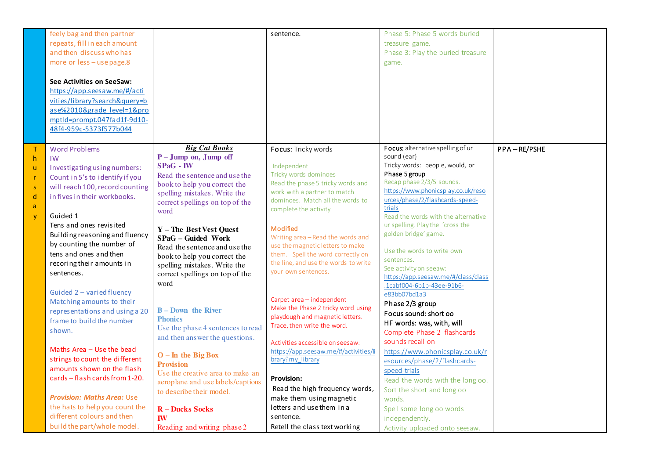|                                         | feely bag and then partner<br>repeats, fill in each amount<br>and then discuss who has<br>more or less - use page.8<br>See Activities on SeeSaw:<br>https://app.seesaw.me/#/acti<br>vities/library?search&query=b<br>ase%2010&grade level=1&pro<br>mptld=prompt.047fad1f-9d10-<br>48f4-959c-5373f577b044                                                                                                                                                             |                                                                                                                                                                                                                                                                                                                                                                                                                                                        | sentence.                                                                                                                                                                                                                                                                                                                                                                                                                                                                                    | Phase 5: Phase 5 words buried<br>treasure game.<br>Phase 3: Play the buried treasure<br>game.                                                                                                                                                                                                                                                                                                                                                                                                                                                              |             |
|-----------------------------------------|----------------------------------------------------------------------------------------------------------------------------------------------------------------------------------------------------------------------------------------------------------------------------------------------------------------------------------------------------------------------------------------------------------------------------------------------------------------------|--------------------------------------------------------------------------------------------------------------------------------------------------------------------------------------------------------------------------------------------------------------------------------------------------------------------------------------------------------------------------------------------------------------------------------------------------------|----------------------------------------------------------------------------------------------------------------------------------------------------------------------------------------------------------------------------------------------------------------------------------------------------------------------------------------------------------------------------------------------------------------------------------------------------------------------------------------------|------------------------------------------------------------------------------------------------------------------------------------------------------------------------------------------------------------------------------------------------------------------------------------------------------------------------------------------------------------------------------------------------------------------------------------------------------------------------------------------------------------------------------------------------------------|-------------|
| T.<br>h<br>ū.<br>r<br>s<br>d<br>a<br>ÿ. | <b>Word Problems</b><br>IW<br>Investigating using numbers:<br>Count in 5's to identify if you<br>will reach 100, record counting<br>in fives in their workbooks.<br>Guided 1<br>Tens and ones revisited<br>Building reasoning and fluency<br>by counting the number of<br>tens and ones and then<br>recoring their amounts in<br>sentences.<br>Guided 2 - varied fluency<br>Matching amounts to their<br>representations and using a 20<br>frame to build the number | <b>Big Cat Books</b><br>$P - Jump$ on, Jump off<br>$SPaG - IW$<br>Read the sentence and use the<br>book to help you correct the<br>spelling mistakes. Write the<br>correct spellings on top of the<br>word<br>Y - The Best Vest Quest<br>SPaG - Guided Work<br>Read the sentence and use the<br>book to help you correct the<br>spelling mistakes. Write the<br>correct spellings on top of the<br>word<br><b>B</b> – Down the River<br><b>Phonics</b> | Focus: Tricky words<br>Independent<br>Tricky words dominoes<br>Read the phase 5 tricky words and<br>work with a partner to match<br>dominoes. Match all the words to<br>complete the activity<br>Modified<br>Writing area - Read the words and<br>use the magnetic letters to make<br>them. Spell the word correctly on<br>the line, and use the words to write<br>your own sentences.<br>Carpet area - independent<br>Make the Phase 2 tricky word using<br>playdough and magnetic letters. | Focus: alternative spelling of ur<br>sound (ear)<br>Tricky words: people, would, or<br>Phase 5 group<br>Recap phase 2/3/5 sounds.<br>https://www.phonicsplay.co.uk/reso<br>urces/phase/2/flashcards-speed-<br>trials<br>Read the words with the alternative<br>ur spelling. Play the 'cross the<br>golden bridge' game.<br>Use the words to write own<br>sentences.<br>See activity on seeaw:<br>https://app.seesaw.me/#/class/class<br>.1cabf004-6b1b-43ee-91b6-<br>e83bb07bd1a3<br>Phase 2/3 group<br>Focus sound: short oo<br>HF words: was, with, will | PPA-RE/PSHE |
|                                         | shown.<br>Maths Area - Use the bead<br>strings to count the different<br>amounts shown on the flash<br>cards - flash cards from 1-20.<br><b>Provision: Maths Area: Use</b><br>the hats to help you count the<br>different colours and then<br>build the part/whole model.                                                                                                                                                                                            | Use the phase 4 sentences to read<br>and then answer the questions.<br>$O$ – In the Big Box<br><b>Provision</b><br>Use the creative area to make an<br>aeroplane and use labels/captions<br>to describe their model.<br><b>R</b> – Ducks Socks<br><b>IW</b><br>Reading and writing phase 2                                                                                                                                                             | Trace, then write the word.<br>Activities accessible on seesaw:<br>https://app.seesaw.me/#/activities/li<br>brary?my_library<br><b>Provision:</b><br>Read the high frequency words,<br>make them using magnetic<br>letters and use them in a<br>sentence.<br>Retell the class text working                                                                                                                                                                                                   | Complete Phase 2 flashcards<br>sounds recall on<br>https://www.phonicsplay.co.uk/r<br>esources/phase/2/flashcards-<br>speed-trials<br>Read the words with the long oo.<br>Sort the short and long oo<br>words.<br>Spell some long oo words<br>independently.<br>Activity uploaded onto seesaw.                                                                                                                                                                                                                                                             |             |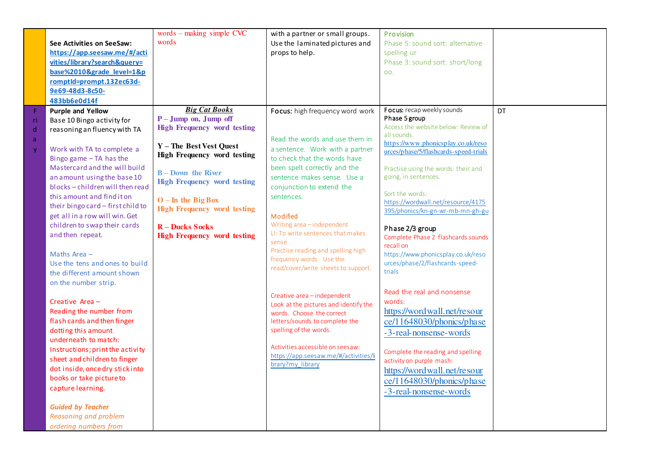|             |                                   | words $-$ making simple CVC                                | with a partner or small groups.                                    | Provision                                                                   |     |
|-------------|-----------------------------------|------------------------------------------------------------|--------------------------------------------------------------------|-----------------------------------------------------------------------------|-----|
|             | See Activities on SeeSaw:         | words                                                      | Use the laminated pictures and                                     | Phase 5: sound sort: alternative                                            |     |
|             | https://app.seesaw.me/#/acti      |                                                            | props to help.                                                     | spelling ur                                                                 |     |
|             | vities/library?search&query=      |                                                            |                                                                    | Phase 3: sound sort: short/long                                             |     |
|             | base%2010&grade level=1&p         |                                                            |                                                                    | OO.                                                                         |     |
|             | romptId=prompt.132ec63d-          |                                                            |                                                                    |                                                                             |     |
|             | 9e69-48d3-8c50-                   |                                                            |                                                                    |                                                                             |     |
|             | 483bb6e0d14f                      |                                                            |                                                                    |                                                                             |     |
| F           | <b>Purple and Yellow</b>          | <b>Big Cat Books</b>                                       | Focus: high frequency word work                                    | Focus: recap weekly sounds                                                  | DT. |
| ri          | Base 10 Bingo activity for        | $P - Jump$ on, Jump off                                    |                                                                    | Phase 5 group                                                               |     |
| $\mathsf d$ | reasoning an fluency with TA      | <b>High Frequency word testing</b>                         |                                                                    | Access the website below: Review of                                         |     |
| a           |                                   |                                                            | Read the words and use them in                                     | all sounds.                                                                 |     |
| y           | Work with TA to complete a        | Y - The Best Vest Quest                                    | a sentence. Work with a partner                                    | https://www.phonicsplay.co.uk/reso<br>urces/phase/5/flashcards-speed-trials |     |
|             | Bingo game - TA has the           | High Frequency word testing                                | to check that the words have                                       |                                                                             |     |
|             | Mastercard and the will build     |                                                            | been spelt correctly and the                                       | Practise using the words: their and                                         |     |
|             | an amount using the base 10       | <b>B</b> – Down the River                                  | sentence makes sense. Use a                                        | going, in sentences.                                                        |     |
|             | blocks-children will then read    | <b>High Frequency word testing</b>                         | conjunction to extend the                                          |                                                                             |     |
|             | this amount and find it on        |                                                            | sentences.                                                         | Sort the words:                                                             |     |
|             | their bingo card - first child to | $O - In$ the Big Box<br><b>High Frequency word testing</b> |                                                                    | https://wordwall.net/resource/4175                                          |     |
|             | get all in a row will win. Get    |                                                            | Modified                                                           | 395/phonics/kn-gn-wr-mb-mn-gh-gu                                            |     |
|             | children to swap their cards      | <b>R</b> – Ducks Socks                                     | Writing area-independent                                           |                                                                             |     |
|             | and then repeat.                  | <b>High Frequency word testing</b>                         | LI: To write sentences that makes                                  | Phase 2/3 group<br>Complete Phase 2 flashcards sounds                       |     |
|             |                                   |                                                            | sense.                                                             | recall on                                                                   |     |
|             | Maths Area $-$                    |                                                            | Practise reading and spelling high                                 | https://www.phonicsplay.co.uk/reso                                          |     |
|             | Use the tens and ones to build    |                                                            | frequency words. Use the                                           | urces/phase/2/flashcards-speed-                                             |     |
|             | the different amount shown        |                                                            | read/cover/write sheets to support.                                | trials                                                                      |     |
|             | on the number strip.              |                                                            |                                                                    |                                                                             |     |
|             |                                   |                                                            |                                                                    | Read the real and nonsense                                                  |     |
|             | Creative Area -                   |                                                            | Creative area-independent<br>Look at the pictures and identify the | words:                                                                      |     |
|             | Reading the number from           |                                                            | words. Choose the correct                                          | https://wordwall.net/resour                                                 |     |
|             | flash cards and then finger       |                                                            | letters/sounds to complete the                                     | ce/11648030/phonics/phase                                                   |     |
|             | dotting this amount               |                                                            | spelling of the words.                                             | -3-real-nonsense-words                                                      |     |
|             | underneath to match:              |                                                            |                                                                    |                                                                             |     |
|             | Instructions; print the activity  |                                                            | Activities accessible on seesaw:                                   | Complete the reading and spelling                                           |     |
|             | sheet and children to finger      |                                                            | https://app.seesaw.me/#/activities/li                              | activity on purple mash:                                                    |     |
|             | dot inside, once dry stick into   |                                                            | brary?my_library                                                   | https://wordwall.net/resour                                                 |     |
|             | books or take picture to          |                                                            |                                                                    | ce/11648030/phonics/phase                                                   |     |
|             | capture learning.                 |                                                            |                                                                    |                                                                             |     |
|             |                                   |                                                            |                                                                    | -3-real-nonsense-words                                                      |     |
|             | <b>Guided by Teacher</b>          |                                                            |                                                                    |                                                                             |     |
|             | Reasoning and problem             |                                                            |                                                                    |                                                                             |     |
|             | ordering numbers from             |                                                            |                                                                    |                                                                             |     |